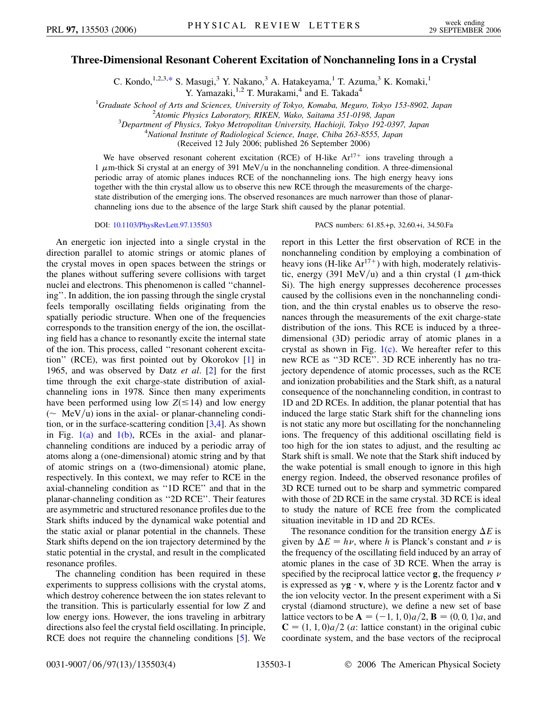## <span id="page-0-0"></span>**Three-Dimensional Resonant Coherent Excitation of Nonchanneling Ions in a Crystal**

C. Kondo,<sup>1,2,3[,\\*](#page-3-0)</sup> S. Masugi,<sup>3</sup> Y. Nakano,<sup>3</sup> A. Hatakeyama,<sup>1</sup> T. Azuma,<sup>3</sup> K. Komaki,<sup>1</sup> Y. Yamazaki,<sup>1,2</sup> T. Murakami,<sup>4</sup> and E. Takada<sup>4</sup>

<sup>1</sup>Graduate School of Arts and Sciences, University of Tokyo, Komaba, Meguro, Tokyo 153-8902, Japan<br><sup>2</sup>Atomia Physics Laboratory, PIKEN, Wake, Saitama 351,0108, Japan

<sup>2</sup> Atomic Physics Laboratory, RIKEN, Wako, Saitama 351-0198, Japan

*Department of Physics, Tokyo Metropolitan University, Hachioji, Tokyo 192-0397, Japan* <sup>4</sup>

*National Institute of Radiological Science, Inage, Chiba 263-8555, Japan*

(Received 12 July 2006; published 26 September 2006)

We have observed resonant coherent excitation (RCE) of H-like  $Ar^{17+}$  ions traveling through a 1  $\mu$ m-thick Si crystal at an energy of 391 MeV/u in the nonchanneling condition. A three-dimensional periodic array of atomic planes induces RCE of the nonchanneling ions. The high energy heavy ions together with the thin crystal allow us to observe this new RCE through the measurements of the chargestate distribution of the emerging ions. The observed resonances are much narrower than those of planarchanneling ions due to the absence of the large Stark shift caused by the planar potential.

An energetic ion injected into a single crystal in the direction parallel to atomic strings or atomic planes of the crystal moves in open spaces between the strings or the planes without suffering severe collisions with target nuclei and electrons. This phenomenon is called ''channeling''. In addition, the ion passing through the single crystal feels temporally oscillating fields originating from the spatially periodic structure. When one of the frequencies corresponds to the transition energy of the ion, the oscillating field has a chance to resonantly excite the internal state of the ion. This process, called ''resonant coherent excitation'' (RCE), was first pointed out by Okorokov [\[1\]](#page-3-1) in 1965, and was observed by Datz *et al*. [\[2\]](#page-3-2) for the first time through the exit charge-state distribution of axialchanneling ions in 1978. Since then many experiments have been performed using low  $Z(\leq 14)$  and low energy ( $\sim$  MeV/u) ions in the axial- or planar-channeling condition, or in the surface-scattering condition [\[3](#page-3-3),[4](#page-3-4)]. As shown in Fig.  $1(a)$  and  $1(b)$ , RCEs in the axial- and planarchanneling conditions are induced by a periodic array of atoms along a (one-dimensional) atomic string and by that of atomic strings on a (two-dimensional) atomic plane, respectively. In this context, we may refer to RCE in the axial-channeling condition as ''1D RCE'' and that in the planar-channeling condition as ''2D RCE''. Their features are asymmetric and structured resonance profiles due to the Stark shifts induced by the dynamical wake potential and the static axial or planar potential in the channels. These Stark shifts depend on the ion trajectory determined by the static potential in the crystal, and result in the complicated resonance profiles.

The channeling condition has been required in these experiments to suppress collisions with the crystal atoms, which destroy coherence between the ion states relevant to the transition. This is particularly essential for low *Z* and low energy ions. However, the ions traveling in arbitrary directions also feel the crystal field oscillating. In principle, RCE does not require the channeling conditions [[5](#page-3-5)]. We

DOI: [10.1103/PhysRevLett.97.135503](http://dx.doi.org/10.1103/PhysRevLett.97.135503) PACS numbers: 61.85.+p, 32.60.+i, 34.50.Fa

report in this Letter the first observation of RCE in the nonchanneling condition by employing a combination of heavy ions (H-like  $Ar^{17+}$ ) with high, moderately relativistic, energy (391 MeV/u) and a thin crystal (1  $\mu$ m-thick Si). The high energy suppresses decoherence processes caused by the collisions even in the nonchanneling condition, and the thin crystal enables us to observe the resonances through the measurements of the exit charge-state distribution of the ions. This RCE is induced by a threedimensional (3D) periodic array of atomic planes in a crystal as shown in Fig.  $1(c)$ . We hereafter refer to this new RCE as ''3D RCE''. 3D RCE inherently has no trajectory dependence of atomic processes, such as the RCE and ionization probabilities and the Stark shift, as a natural consequence of the nonchanneling condition, in contrast to 1D and 2D RCEs. In addition, the planar potential that has induced the large static Stark shift for the channeling ions is not static any more but oscillating for the nonchanneling ions. The frequency of this additional oscillating field is too high for the ion states to adjust, and the resulting ac Stark shift is small. We note that the Stark shift induced by the wake potential is small enough to ignore in this high energy region. Indeed, the observed resonance profiles of 3D RCE turned out to be sharp and symmetric compared with those of 2D RCE in the same crystal. 3D RCE is ideal to study the nature of RCE free from the complicated situation inevitable in 1D and 2D RCEs.

The resonance condition for the transition energy  $\Delta E$  is given by  $\Delta E = h\nu$ , where *h* is Planck's constant and  $\nu$  is the frequency of the oscillating field induced by an array of atomic planes in the case of 3D RCE. When the array is specified by the reciprocal lattice vector  $\bf{g}$ , the frequency  $\nu$ is expressed as  $\gamma$ **g**  $\cdot$  **v**, where  $\gamma$  is the Lorentz factor and **v** the ion velocity vector. In the present experiment with a Si crystal (diamond structure), we define a new set of base lattice vectors to be  $A = (-1, 1, 0)a/2$ ,  $B = (0, 0, 1)a$ , and  $C = (1, 1, 0)a/2$  (*a*: lattice constant) in the original cubic coordinate system, and the base vectors of the reciprocal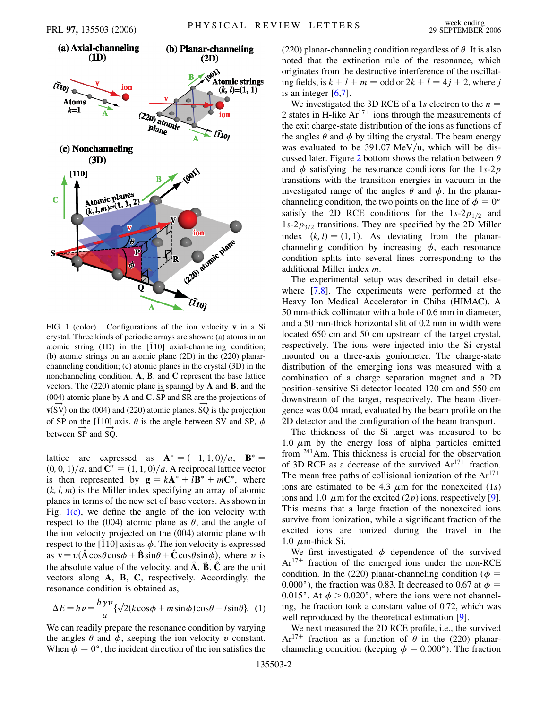<span id="page-1-2"></span>

<span id="page-1-0"></span>FIG. 1 (color). Configurations of the ion velocity **v** in a Si crystal. Three kinds of periodic arrays are shown: (a) atoms in an atomic string  $(1D)$  in the  $[110]$  axial-channeling condition; (b) atomic strings on an atomic plane (2D) in the (220) planarchanneling condition; (c) atomic planes in the crystal (3D) in the nonchanneling condition. **A**, **B**, and **C** represent the base lattice vectors. The (220) atomic plane is spanned by **A** and **B**, and the  $(004)$  atomic plane by **A** and **C**. SP and SR are the projections of  **on the (004) and (220) atomic planes.**  $\overline{SQ}$  **is the projection** of SP on the [110] axis.  $\theta$  is the angle between SV and SP,  $\phi$ between  $\overrightarrow{SP}$  and  $\overrightarrow{SQ}$ .

lattice are expressed as  $A^* = (-1, 1, 0)/a$ ,  $B^* =$  $(0, 0, 1)/a$ , and  $\mathbb{C}^* = (1, 1, 0)/a$ . A reciprocal lattice vector is then represented by  $g = kA^* + lB^* + mC^*$ , where  $(k, l, m)$  is the Miller index specifying an array of atomic planes in terms of the new set of base vectors. As shown in Fig.  $1(c)$ , we define the angle of the ion velocity with respect to the (004) atomic plane as  $\theta$ , and the angle of the ion velocity projected on the (004) atomic plane with respect to the [110] axis as  $\phi$ . The ion velocity is expressed as  $\mathbf{v} = v(\hat{\mathbf{A}}\cos\theta\cos\phi + \hat{\mathbf{B}}\sin\theta + \hat{\mathbf{C}}\cos\theta\sin\phi)$ , where *v* is the absolute value of the velocity, and  $\hat{A}$ ,  $\hat{B}$ ,  $\hat{C}$  are the unit vectors along **A**, **B**, **C**, respectively. Accordingly, the resonance condition is obtained as,

<span id="page-1-1"></span>
$$
\Delta E = h\nu = \frac{h\gamma v}{a} \{\sqrt{2}(k\cos\phi + m\sin\phi)\cos\theta + l\sin\theta\}.
$$
 (1)

We can readily prepare the resonance condition by varying the angles  $\theta$  and  $\phi$ , keeping the ion velocity  $\nu$  constant. When  $\phi = 0^{\circ}$ , the incident direction of the ion satisfies the

(220) planar-channeling condition regardless of  $\theta$ . It is also noted that the extinction rule of the resonance, which originates from the destructive interference of the oscillating fields, is  $k + l + m =$  odd or  $2k + l = 4j + 2$ , where *j* is an integer  $[6,7]$  $[6,7]$ .

We investigated the 3D RCE of a 1s electron to the  $n =$ 2 states in H-like  $Ar^{17+}$  ions through the measurements of the exit charge-state distribution of the ions as functions of the angles  $\theta$  and  $\phi$  by tilting the crystal. The beam energy was evaluated to be 391.07 MeV/u, which will be dis-cussed later. Figure [2](#page-2-0) bottom shows the relation between  $\theta$ and  $\phi$  satisfying the resonance conditions for the 1*s*-2*p* transitions with the transition energies in vacuum in the investigated range of the angles  $\theta$  and  $\phi$ . In the planarchanneling condition, the two points on the line of  $\phi = 0^{\circ}$ satisfy the 2D RCE conditions for the  $1s-2p_{1/2}$  and  $1s-2p_{3/2}$  transitions. They are specified by the 2D Miller index  $(k, l) = (1, 1)$ . As deviating from the planarchanneling condition by increasing  $\phi$ , each resonance condition splits into several lines corresponding to the additional Miller index *m*.

The experimental setup was described in detail elsewhere [\[7,](#page-3-7)[8\]](#page-3-8). The experiments were performed at the Heavy Ion Medical Accelerator in Chiba (HIMAC). A 50 mm-thick collimator with a hole of 0.6 mm in diameter, and a 50 mm-thick horizontal slit of 0.2 mm in width were located 650 cm and 50 cm upstream of the target crystal, respectively. The ions were injected into the Si crystal mounted on a three-axis goniometer. The charge-state distribution of the emerging ions was measured with a combination of a charge separation magnet and a 2D position-sensitive Si detector located 120 cm and 550 cm downstream of the target, respectively. The beam divergence was 0.04 mrad, evaluated by the beam profile on the 2D detector and the configuration of the beam transport.

The thickness of the Si target was measured to be 1.0  $\mu$ m by the energy loss of alpha particles emitted from 241Am. This thickness is crucial for the observation of 3D RCE as a decrease of the survived  $Ar^{17+}$  fraction. The mean free paths of collisional ionization of the  $Ar^{17+}$ ions are estimated to be 4.3  $\mu$ m for the nonexcited (1*s*) ions and 1.0  $\mu$ m for the excited (2*p*) ions, respectively [[9\]](#page-3-9). This means that a large fraction of the nonexcited ions survive from ionization, while a significant fraction of the excited ions are ionized during the travel in the 1.0  $\mu$ m-thick Si.

We first investigated  $\phi$  dependence of the survived  $Ar^{17+}$  fraction of the emerged ions under the non-RCE condition. In the (220) planar-channeling condition ( $\phi$  = 0.000°), the fraction was 0.83. It decreased to 0.67 at  $\phi =$ 0.015°. At  $\phi > 0.020$ °, where the ions were not channeling, the fraction took a constant value of 0.72, which was well reproduced by the theoretical estimation [\[9\]](#page-3-9).

We next measured the 2D RCE profile, i.e., the survived Ar<sup>17+</sup> fraction as a function of  $\theta$  in the (220) planarchanneling condition (keeping  $\phi = 0.000^{\circ}$ ). The fraction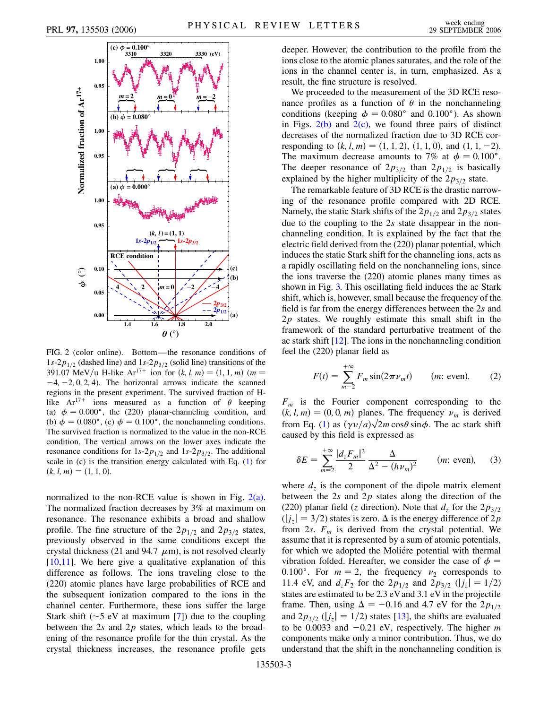<span id="page-2-0"></span>

<span id="page-2-1"></span>FIG. 2 (color online). Bottom—the resonance conditions of  $1s-2p_{1/2}$  (dashed line) and  $1s-2p_{3/2}$  (solid line) transitions of the 391.07 MeV/u H-like  $Ar^{17+}$  ion for  $(k, l, m) = (1, 1, m)$  (*m* =  $-4, -2, 0, 2, 4$ . The horizontal arrows indicate the scanned regions in the present experiment. The survived fraction of Hlike  $Ar^{17+}$  ions measured as a function of  $\theta$  keeping (a)  $\phi = 0.000^{\circ}$ , the (220) planar-channeling condition, and (b)  $\phi = 0.080^{\circ}$ , (c)  $\phi = 0.100^{\circ}$ , the nonchanneling conditions. The survived fraction is normalized to the value in the non-RCE condition. The vertical arrows on the lower axes indicate the resonance conditions for  $1s-2p_{1/2}$  and  $1s-2p_{3/2}$ . The additional scale in (c) is the transition energy calculated with Eq. ([1](#page-1-1)) for  $(k, l, m) = (1, 1, 0).$ 

normalized to the non-RCE value is shown in Fig. [2\(a\)](#page-2-1). The normalized fraction decreases by 3% at maximum on resonance. The resonance exhibits a broad and shallow profile. The fine structure of the  $2p_{1/2}$  and  $2p_{3/2}$  states, previously observed in the same conditions except the crystal thickness (21 and 94.7  $\mu$ m), is not resolved clearly  $[10,11]$  $[10,11]$ . We here give a qualitative explanation of this difference as follows. The ions traveling close to the (220) atomic planes have large probabilities of RCE and the subsequent ionization compared to the ions in the channel center. Furthermore, these ions suffer the large Stark shift ( $\sim$ 5 eV at maximum [\[7\]](#page-3-7)) due to the coupling between the 2*s* and 2*p* states, which leads to the broadening of the resonance profile for the thin crystal. As the crystal thickness increases, the resonance profile gets deeper. However, the contribution to the profile from the ions close to the atomic planes saturates, and the role of the ions in the channel center is, in turn, emphasized. As a result, the fine structure is resolved.

We proceeded to the measurement of the 3D RCE resonance profiles as a function of  $\theta$  in the nonchanneling conditions (keeping  $\phi = 0.080^{\circ}$  and 0.100°). As shown in Figs.  $2(b)$  and  $2(c)$ , we found three pairs of distinct decreases of the normalized fraction due to 3D RCE corresponding to  $(k, l, m) = (1, 1, 2), (1, 1, 0),$  and  $(1, 1, -2)$ . The maximum decrease amounts to 7% at  $\phi = 0.100^{\circ}$ . The deeper resonance of  $2p_{3/2}$  than  $2p_{1/2}$  is basically explained by the higher multiplicity of the  $2p_{3/2}$  state.

The remarkable feature of 3D RCE is the drastic narrowing of the resonance profile compared with 2D RCE. Namely, the static Stark shifts of the  $2p_{1/2}$  and  $2p_{3/2}$  states due to the coupling to the 2*s* state disappear in the nonchanneling condition. It is explained by the fact that the electric field derived from the (220) planar potential, which induces the static Stark shift for the channeling ions, acts as a rapidly oscillating field on the nonchanneling ions, since the ions traverse the (220) atomic planes many times as shown in Fig. [3.](#page-3-12) This oscillating field induces the ac Stark shift, which is, however, small because the frequency of the field is far from the energy differences between the 2*s* and 2*p* states. We roughly estimate this small shift in the framework of the standard perturbative treatment of the ac stark shift [[12](#page-3-13)]. The ions in the nonchanneling condition feel the (220) planar field as

$$
F(t) = \sum_{m=2}^{+\infty} F_m \sin(2\pi \nu_m t) \qquad (m: \text{ even}). \tag{2}
$$

*Fm* is the Fourier component corresponding to the  $(k, l, m) = (0, 0, m)$  planes. The frequency  $\nu_m$  is derived  $(x, t, m) = (0, 0, m)$  planes. The frequency  $\nu_m$  is derived<br>from Eq. ([1](#page-1-1)) as  $(\gamma v/a) \sqrt{2}m \cos \theta \sin \phi$ . The ac stark shift caused by this field is expressed as

$$
\delta E = \sum_{m=2}^{+\infty} \frac{|d_z F_m|^2}{2} \frac{\Delta}{\Delta^2 - (h\nu_m)^2} \qquad (m: \text{ even}), \qquad (3)
$$

where  $d_z$  is the component of the dipole matrix element between the 2*s* and 2*p* states along the direction of the (220) planar field (*z* direction). Note that  $d_7$  for the  $2p_{3/2}$  $(|j_z| = 3/2)$  states is zero.  $\Delta$  is the energy difference of 2*p* from 2*s*.  $F_m$  is derived from the crystal potential. We assume that it is represented by a sum of atomic potentials, for which we adopted the Moliére potential with thermal vibration folded. Hereafter, we consider the case of  $\phi =$ 0.100°. For  $m = 2$ , the frequency  $\nu_2$  corresponds to 11.4 eV, and  $d_zF_2$  for the  $2p_{1/2}$  and  $2p_{3/2}$  ( $|j_z| = 1/2$ ) states are estimated to be 2.3 eV and 3.1 eV in the projectile frame. Then, using  $\Delta = -0.16$  and 4.7 eV for the  $2p_{1/2}$ and  $2p_{3/2}$  ( $|j_z| = 1/2$ ) states [\[13\]](#page-3-14), the shifts are evaluated to be 0.0033 and  $-0.21$  eV, respectively. The higher *m* components make only a minor contribution. Thus, we do understand that the shift in the nonchanneling condition is